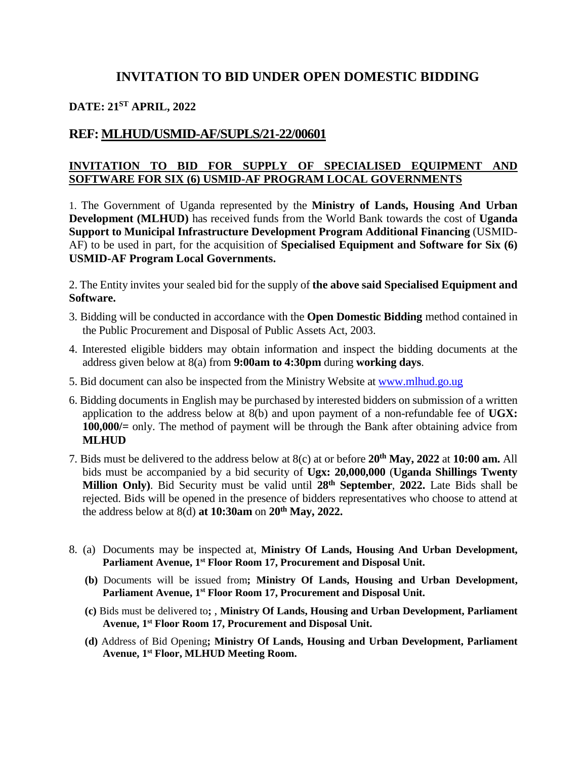## **INVITATION TO BID UNDER OPEN DOMESTIC BIDDING**

# **DATE: 21ST APRIL, 2022**

### **REF: MLHUD/USMID-AF/SUPLS/21-22/00601**

#### **INVITATION TO BID FOR SUPPLY OF SPECIALISED EQUIPMENT AND SOFTWARE FOR SIX (6) USMID-AF PROGRAM LOCAL GOVERNMENTS**

1. The Government of Uganda represented by the **Ministry of Lands, Housing And Urban Development (MLHUD)** has received funds from the World Bank towards the cost of **Uganda Support to Municipal Infrastructure Development Program Additional Financing** (USMID-AF) to be used in part, for the acquisition of **Specialised Equipment and Software for Six (6) USMID-AF Program Local Governments.**

2. The Entity invites your sealed bid for the supply of **the above said Specialised Equipment and Software.**

- 3. Bidding will be conducted in accordance with the **Open Domestic Bidding** method contained in the Public Procurement and Disposal of Public Assets Act, 2003.
- 4. Interested eligible bidders may obtain information and inspect the bidding documents at the address given below at 8(a) from **9:00am to 4:30pm** during **working days**.
- 5. Bid document can also be inspected from the Ministry Website at [www.mlhud.go.ug](http://www.mlhud.go.ug/)
- 6. Bidding documents in English may be purchased by interested bidders on submission of a written application to the address below at 8(b) and upon payment of a non-refundable fee of **UGX: 100,000/***=* only. The method of payment will be through the Bank after obtaining advice from **MLHUD**
- 7. Bids must be delivered to the address below at 8(c) at or before **20th May, 2022** at **10:00 am.** All bids must be accompanied by a bid security of **Ugx: 20,000,000** (**Uganda Shillings Twenty Million Only)**. Bid Security must be valid until **28th September**, **2022.** Late Bids shall be rejected. Bids will be opened in the presence of bidders representatives who choose to attend at the address below at 8(d) **at 10:30am** on **20th May, 2022.**
- 8. (a) Documents may be inspected at, **Ministry Of Lands, Housing And Urban Development, Parliament Avenue, 1st Floor Room 17, Procurement and Disposal Unit.**
	- **(b)** Documents will be issued from**; Ministry Of Lands, Housing and Urban Development, Parliament Avenue, 1st Floor Room 17, Procurement and Disposal Unit.**
	- **(c)** Bids must be delivered to**;** , **Ministry Of Lands, Housing and Urban Development, Parliament Avenue, 1st Floor Room 17, Procurement and Disposal Unit.**
	- **(d)** Address of Bid Opening**; Ministry Of Lands, Housing and Urban Development, Parliament Avenue, 1st Floor, MLHUD Meeting Room.**